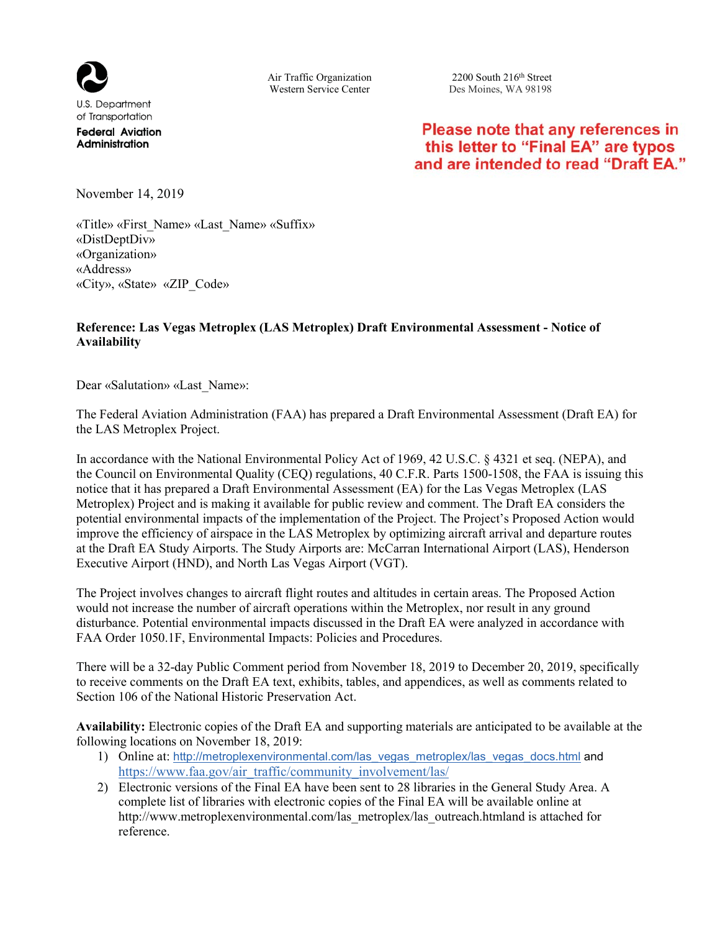

**Administration** 

Air Traffic Organization 2200 South 216<sup>th</sup> Street<br>Western Service Center Des Moines, WA 98198 Des Moines, WA 98198

# Please note that any references in this letter to "Final EA" are typos and are intended to read "Draft EA."

November 14, 2019

«Title» «First\_Name» «Last\_Name» «Suffix» «DistDeptDiv» «Organization» «Address» «City», «State» «ZIP\_Code»

#### **Reference: Las Vegas Metroplex (LAS Metroplex) Draft Environmental Assessment - Notice of Availability**

Dear «Salutation» «Last\_Name»:

The Federal Aviation Administration (FAA) has prepared a Draft Environmental Assessment (Draft EA) for the LAS Metroplex Project.

In accordance with the National Environmental Policy Act of 1969, 42 U.S.C. § 4321 et seq. (NEPA), and the Council on Environmental Quality (CEQ) regulations, 40 C.F.R. Parts 1500-1508, the FAA is issuing this notice that it has prepared a Draft Environmental Assessment (EA) for the Las Vegas Metroplex (LAS Metroplex) Project and is making it available for public review and comment. The Draft EA considers the potential environmental impacts of the implementation of the Project. The Project's Proposed Action would improve the efficiency of airspace in the LAS Metroplex by optimizing aircraft arrival and departure routes at the Draft EA Study Airports. The Study Airports are: McCarran International Airport (LAS), Henderson Executive Airport (HND), and North Las Vegas Airport (VGT).

The Project involves changes to aircraft flight routes and altitudes in certain areas. The Proposed Action would not increase the number of aircraft operations within the Metroplex, nor result in any ground disturbance. Potential environmental impacts discussed in the Draft EA were analyzed in accordance with FAA Order 1050.1F, Environmental Impacts: Policies and Procedures.

There will be a 32-day Public Comment period from November 18, 2019 to December 20, 2019, specifically to receive comments on the Draft EA text, exhibits, tables, and appendices, as well as comments related to Section 106 of the National Historic Preservation Act.

**Availability:** Electronic copies of the Draft EA and supporting materials are anticipated to be available at the following locations on November 18, 2019:

- 1) Online at: http://metroplexenvironmental.com/las\_vegas\_metroplex/las\_vegas\_docs.html and https://www.faa.gov/air\_traffic/community\_involvement/las/
- 2) Electronic versions of the Final EA have been sent to 28 libraries in the General Study Area. A complete list of libraries with electronic copies of the Final EA will be available online at http://www.metroplexenvironmental.com/las\_metroplex/las\_outreach.htmland is attached for reference.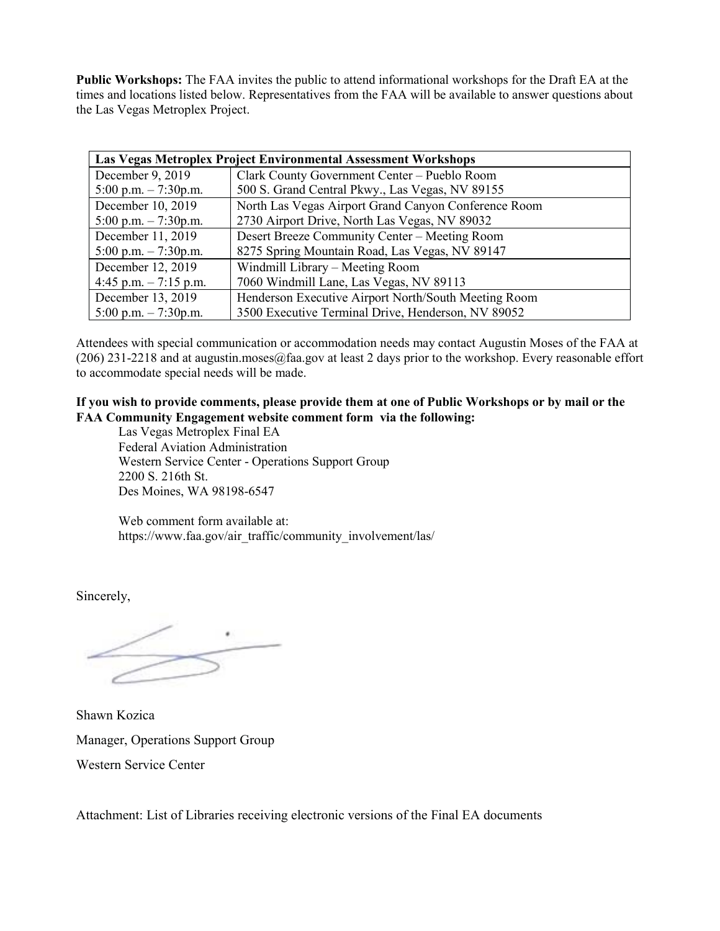**Public Workshops:** The FAA invites the public to attend informational workshops for the Draft EA at the times and locations listed below. Representatives from the FAA will be available to answer questions about the Las Vegas Metroplex Project.

| <b>Las Vegas Metroplex Project Environmental Assessment Workshops</b> |                                                      |
|-----------------------------------------------------------------------|------------------------------------------------------|
| December 9, 2019                                                      | Clark County Government Center - Pueblo Room         |
| 5:00 p.m. $-7:30$ p.m.                                                | 500 S. Grand Central Pkwy., Las Vegas, NV 89155      |
| December 10, 2019                                                     | North Las Vegas Airport Grand Canyon Conference Room |
| 5:00 p.m. $-7:30$ p.m.                                                | 2730 Airport Drive, North Las Vegas, NV 89032        |
| December 11, 2019                                                     | Desert Breeze Community Center – Meeting Room        |
| 5:00 p.m. $-7:30$ p.m.                                                | 8275 Spring Mountain Road, Las Vegas, NV 89147       |
| December 12, 2019                                                     | Windmill Library – Meeting Room                      |
| 4:45 p.m. $-7:15$ p.m.                                                | 7060 Windmill Lane, Las Vegas, NV 89113              |
| December 13, 2019                                                     | Henderson Executive Airport North/South Meeting Room |
| 5:00 p.m. $-7:30$ p.m.                                                | 3500 Executive Terminal Drive, Henderson, NV 89052   |

Attendees with special communication or accommodation needs may contact Augustin Moses of the FAA at (206) 231-2218 and at augustin.moses@faa.gov at least 2 days prior to the workshop. Every reasonable effort to accommodate special needs will be made.

#### **If you wish to provide comments, please provide them at one of Public Workshops or by mail or the FAA Community Engagement website comment form via the following:**

Las Vegas Metroplex Final EA Federal Aviation Administration Western Service Center - Operations Support Group 2200 S. 216th St. Des Moines, WA 98198-6547

Web comment form available at: https://www.faa.gov/air\_traffic/community\_involvement/las/

Sincerely,

Shawn Kozica Manager, Operations Support Group Western Service Center

Attachment: List of Libraries receiving electronic versions of the Final EA documents